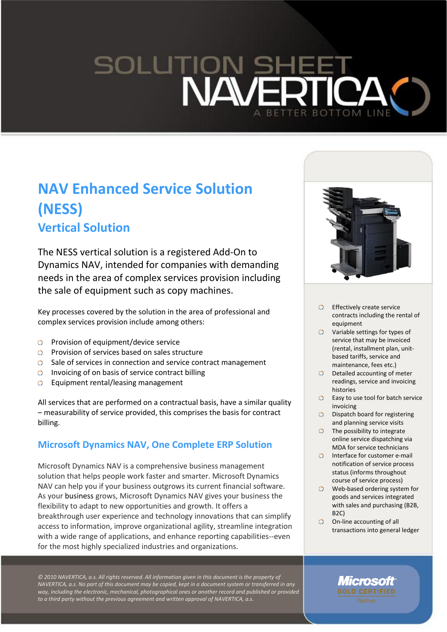# SOLUTIO<br>NZ **BOTTOM LINE**

# **NAV Enhanced Service Solution (NESS) Vertical Solution**

The NESS vertical solution is a registered Add-On to Dynamics NAV, intended for companies with demanding needs in the area of complex services provision including the sale of equipment such as copy machines.

Key processes covered by the solution in the area of professional and complex services provision include among others:

- Provision of equipment/device service
- Provision of services based on sales structure
- $\circ$  Sale of services in connection and service contract management
- **O** Invoicing of on basis of service contract billing
- $\circ$ Equipment rental/leasing management

All services that are performed on a contractual basis, have a similar quality – measurability of service provided, this comprises the basis for contract billing.

# **Microsoft Dynamics NAV, One Complete ERP Solution**

Microsoft Dynamics NAV is a comprehensive business management solution that helps people work faster and smarter. Microsoft Dynamics NAV can help you if your business outgrows its current financial software. As your business grows, Microsoft Dynamics NAV gives your business the flexibility to adapt to new opportunities and growth. It offers a breakthrough user experience and technology innovations that can simplify access to information, improve organizational agility, streamline integration with a wide range of applications, and enhance reporting capabilities--even for the most highly specialized industries and organizations.

*© 2010 NAVERTICA, a.s. All rights reserved. All information given in this document is the property of NAVERTICA, a.s. No part of this document may be copied, kept in a document system or transferred in any way, including the electronic, mechanical, photographical ones or another record and published or provided to a third party without the previous agreement and written approval of NAVERTICA, a.s.*



- $\circ$ Effectively create service contracts including the rental of equipment
- $\circ$ Variable settings for types of service that may be invoiced (rental, installment plan, unitbased tariffs, service and maintenance, fees etc.)
- $\circ$ Detailed accounting of meter readings, service and invoicing histories
- Easy to use tool for batch service invoicing
- Dispatch board for registering  $\circ$ and planning service visits
- $\circ$ The possibility to integrate online service dispatching via MDA for service technicians
- $\Omega$ Interface for customer e-mail notification of service process status (informs throughout course of service process)
- Web-based ordering system for  $\circ$ goods and services integrated with sales and purchasing (B2B, B2C)
- O On-line accounting of all transactions into general ledger

Microsoft **GOLD CERTIFIED**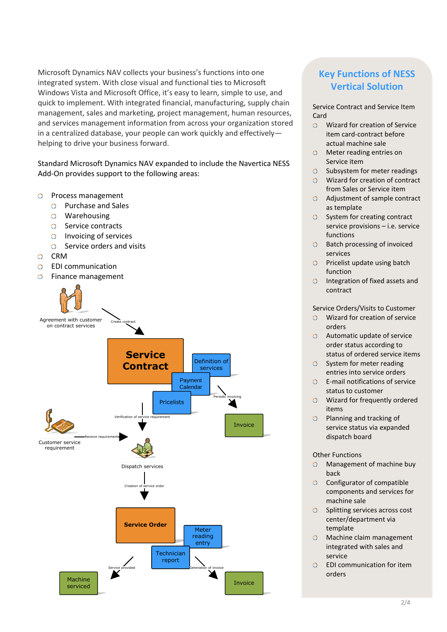Microsoft Dynamics NAV collects your business's functions into one integrated system. With close visual and functional ties to Microsoft Windows Vista and Microsoft Office, it's easy to learn, simple to use, and quick to implement. With integrated financial, manufacturing, supply chain management, sales and marketing, project management, human resources, and services management information from across your organization stored in a centralized database, your people can work quickly and effectively helping to drive your business forward.

Standard Microsoft Dynamics NAV expanded to include the Navertica NESS Add-On provides support to the following areas:

- Process management  $\circ$ 
	- Purchase and Sales  $\circ$
	- Warehousing
	- O Service contracts
	- Invoicing of services
	- $\circ$  Service orders and visits
- CRM  $\circ$
- $\Omega$ EDI communication
- Finance management  $\circ$



# **Key Functions of NESS Vertical Solution**

Service Contract and Service Item Card

- $\circ$ Wizard for creation of Service item card-contract before actual machine sale
- $\circ$ Meter reading entries on Service item
- O Subsystem for meter readings
- Wizard for creation of contract from Sales or Service item
- Adjustment of sample contract as template
- $\circ$ System for creating contract service provisions – i.e. service functions
- Batch processing of invoiced  $\Omega$ services
- O Pricelist update using batch function
- Integration of fixed assets and  $\Omega$ contract

#### Service Orders/Visits to Customer

- Wizard for creation of service orders
- Automatic update of service order status according to status of ordered service items
- $\Omega$ System for meter reading entries into service orders
- E-mail notifications of service status to customer
- Wizard for frequently ordered items
- Planning and tracking of  $\circ$ service status via expanded dispatch board

#### Other Functions

- Management of machine buy  $\Omega$ back
- $\Omega$ Configurator of compatible components and services for machine sale
- $\circ$  Splitting services across cost center/department via template
- Machine claim management integrated with sales and service
- EDI communication for item  $\circ$ orders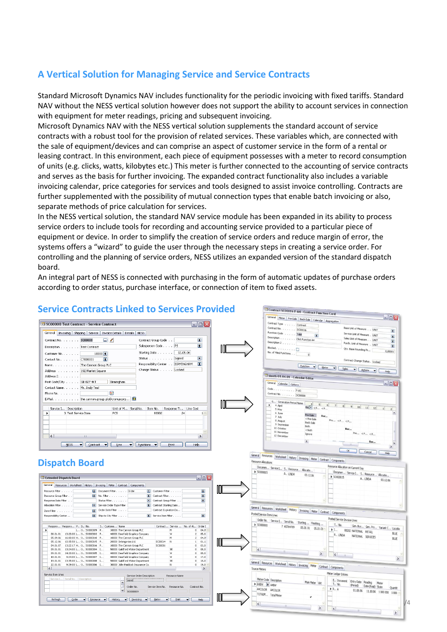# **A Vertical Solution for Managing Service and Service Contracts**

Standard Microsoft Dynamics NAV includes functionality for the periodic invoicing with fixed tariffs. Standard NAV without the NESS vertical solution however does not support the ability to account services in connection with equipment for meter readings, pricing and subsequent invoicing.

Microsoft Dynamics NAV with the NESS vertical solution supplements the standard account of service contracts with a robust tool for the provision of related services. These variables which, are connected with the sale of equipment/devices and can comprise an aspect of customer service in the form of a rental or leasing contract. In this environment, each piece of equipment possesses with a meter to record consumption of units (e.g. clicks, watts, kilobytes etc.) This meter is further connected to the accounting of service contracts and serves as the basis for further invoicing. The expanded contract functionality also includes a variable invoicing calendar, price categories for services and tools designed to assist invoice controlling. Contracts are further supplemented with the possibility of mutual connection types that enable batch invoicing or also, separate methods of price calculation for services.

In the NESS vertical solution, the standard NAV service module has been expanded in its ability to process service orders to include tools for recording and accounting service provided to a particular piece of equipment or device. In order to simplify the creation of service orders and reduce margin of error, the systems offers a "wizard" to guide the user through the necessary steps in creating a service order. For controlling and the planning of service orders, NESS utilizes an expanded version of the standard dispatch board.

An integral part of NESS is connected with purchasing in the form of automatic updates of purchase orders according to order status, purchase interface, or connection of item to fixed assets.



# **Service Contracts Linked to Services Provided**